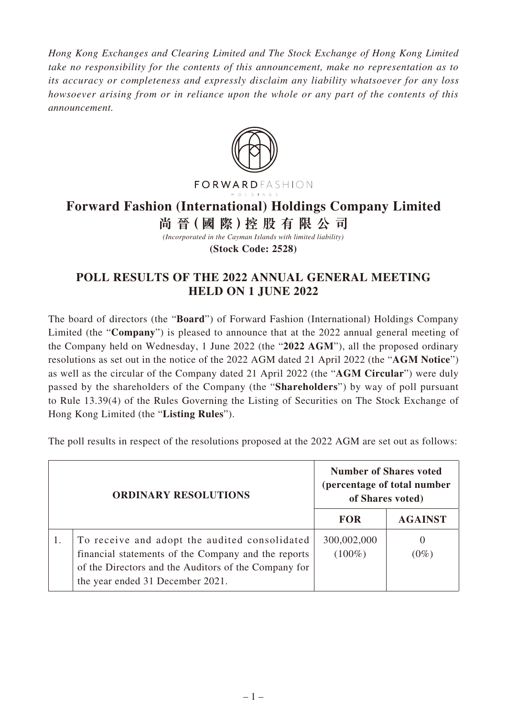*Hong Kong Exchanges and Clearing Limited and The Stock Exchange of Hong Kong Limited take no responsibility for the contents of this announcement, make no representation as to its accuracy or completeness and expressly disclaim any liability whatsoever for any loss howsoever arising from or in reliance upon the whole or any part of the contents of this announcement.*



## **Forward Fashion (International) Holdings Company Limited**

**尚 晉(國 際)控股有限公司**

*(Incorporated in the Cayman Islands with limited liability)*

**(Stock Code: 2528)**

## **POLL RESULTS OF THE 2022 ANNUAL GENERAL MEETING HELD ON 1 JUNE 2022**

The board of directors (the "**Board**") of Forward Fashion (International) Holdings Company Limited (the "**Company**") is pleased to announce that at the 2022 annual general meeting of the Company held on Wednesday, 1 June 2022 (the "**2022 AGM**"), all the proposed ordinary resolutions as set out in the notice of the 2022 AGM dated 21 April 2022 (the "**AGM Notice**") as well as the circular of the Company dated 21 April 2022 (the "**AGM Circular**") were duly passed by the shareholders of the Company (the "**Shareholders**") by way of poll pursuant to Rule 13.39(4) of the Rules Governing the Listing of Securities on The Stock Exchange of Hong Kong Limited (the "**Listing Rules**").

The poll results in respect of the resolutions proposed at the 2022 AGM are set out as follows:

| <b>ORDINARY RESOLUTIONS</b> |                                                                                                                                                                                                  | <b>Number of Shares voted</b><br>(percentage of total number<br>of Shares voted) |                |
|-----------------------------|--------------------------------------------------------------------------------------------------------------------------------------------------------------------------------------------------|----------------------------------------------------------------------------------|----------------|
|                             |                                                                                                                                                                                                  | <b>FOR</b>                                                                       | <b>AGAINST</b> |
|                             | To receive and adopt the audited consolidated<br>financial statements of the Company and the reports<br>of the Directors and the Auditors of the Company for<br>the year ended 31 December 2021. | 300,002,000<br>$(100\%)$                                                         | 0<br>$(0\%)$   |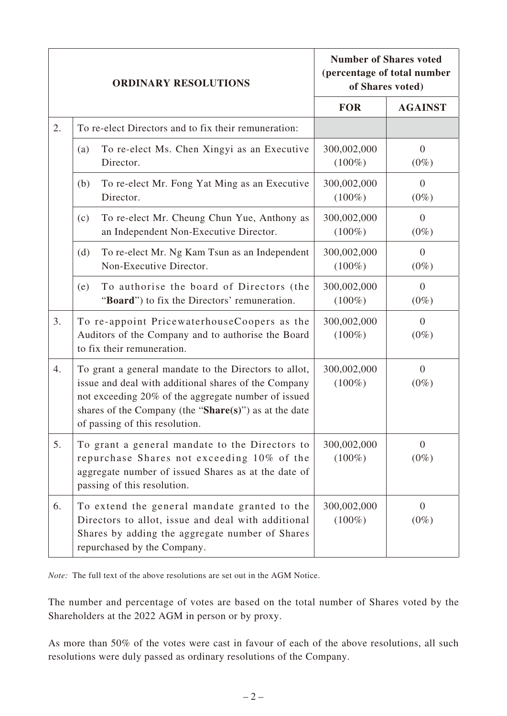| <b>ORDINARY RESOLUTIONS</b> |                                                                                                                                                                                                                                                                 | <b>Number of Shares voted</b><br>(percentage of total number<br>of Shares voted) |                           |
|-----------------------------|-----------------------------------------------------------------------------------------------------------------------------------------------------------------------------------------------------------------------------------------------------------------|----------------------------------------------------------------------------------|---------------------------|
|                             |                                                                                                                                                                                                                                                                 | <b>FOR</b>                                                                       | <b>AGAINST</b>            |
| 2.                          | To re-elect Directors and to fix their remuneration:                                                                                                                                                                                                            |                                                                                  |                           |
|                             | To re-elect Ms. Chen Xingyi as an Executive<br>(a)<br>Director.                                                                                                                                                                                                 | 300,002,000<br>$(100\%)$                                                         | $\overline{0}$<br>$(0\%)$ |
|                             | To re-elect Mr. Fong Yat Ming as an Executive<br>(b)<br>Director.                                                                                                                                                                                               | 300,002,000<br>$(100\%)$                                                         | $\overline{0}$<br>$(0\%)$ |
|                             | To re-elect Mr. Cheung Chun Yue, Anthony as<br>(c)<br>an Independent Non-Executive Director.                                                                                                                                                                    | 300,002,000<br>$(100\%)$                                                         | $\Omega$<br>$(0\%)$       |
|                             | To re-elect Mr. Ng Kam Tsun as an Independent<br>(d)<br>Non-Executive Director.                                                                                                                                                                                 | 300,002,000<br>$(100\%)$                                                         | $\overline{0}$<br>$(0\%)$ |
|                             | To authorise the board of Directors (the<br>(e)<br>"Board") to fix the Directors' remuneration.                                                                                                                                                                 | 300,002,000<br>$(100\%)$                                                         | $\overline{0}$<br>$(0\%)$ |
| 3.                          | To re-appoint PricewaterhouseCoopers as the<br>Auditors of the Company and to authorise the Board<br>to fix their remuneration.                                                                                                                                 | 300,002,000<br>$(100\%)$                                                         | $\Omega$<br>$(0\%)$       |
| 4.                          | To grant a general mandate to the Directors to allot,<br>issue and deal with additional shares of the Company<br>not exceeding 20% of the aggregate number of issued<br>shares of the Company (the "Share(s)") as at the date<br>of passing of this resolution. | 300,002,000<br>$(100\%)$                                                         | $\overline{0}$<br>$(0\%)$ |
| 5.                          | To grant a general mandate to the Directors to<br>repurchase Shares not exceeding 10% of the<br>aggregate number of issued Shares as at the date of<br>passing of this resolution.                                                                              | 300,002,000<br>$(100\%)$                                                         | $\theta$<br>$(0\%)$       |
| 6.                          | To extend the general mandate granted to the<br>Directors to allot, issue and deal with additional<br>Shares by adding the aggregate number of Shares<br>repurchased by the Company.                                                                            | 300,002,000<br>$(100\%)$                                                         | $\overline{0}$<br>$(0\%)$ |

*Note:* The full text of the above resolutions are set out in the AGM Notice.

The number and percentage of votes are based on the total number of Shares voted by the Shareholders at the 2022 AGM in person or by proxy.

As more than 50% of the votes were cast in favour of each of the above resolutions, all such resolutions were duly passed as ordinary resolutions of the Company.